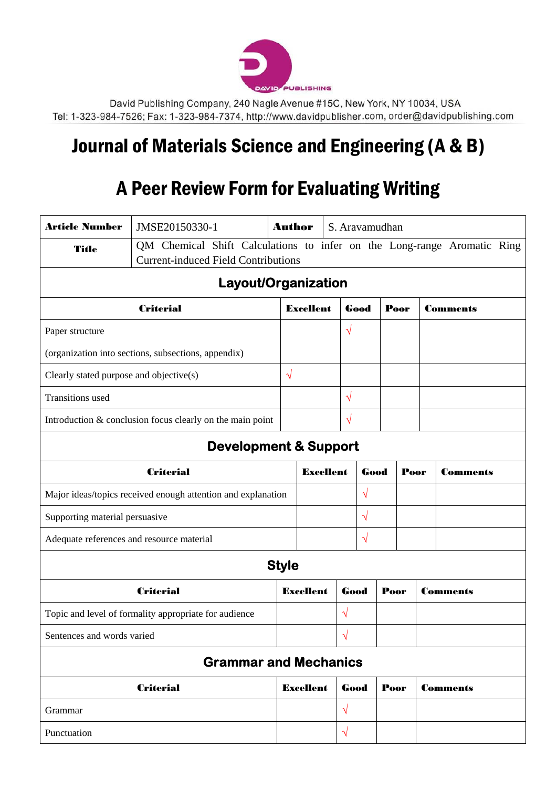

David Publishing Company, 240 Nagle Avenue #15C, New York, NY 10034, USA Tel: 1-323-984-7526; Fax: 1-323-984-7374, http://www.davidpublisher.com, order@davidpublishing.com

## Journal of Materials Science and Engineering (A & B)

## A Peer Review Form for Evaluating Writing

| <b>Article Number</b>                                     | JMSE20150330-1                                               | <b>Author</b> |                                                                         | S. Aravamudhan |           |              |      |                 |                 |  |
|-----------------------------------------------------------|--------------------------------------------------------------|---------------|-------------------------------------------------------------------------|----------------|-----------|--------------|------|-----------------|-----------------|--|
| Title                                                     | <b>Current-induced Field Contributions</b>                   |               | QM Chemical Shift Calculations to infer on the Long-range Aromatic Ring |                |           |              |      |                 |                 |  |
|                                                           | Layout/Organization                                          |               |                                                                         |                |           |              |      |                 |                 |  |
| <b>Criterial</b>                                          |                                                              |               | <b>Excellent</b>                                                        |                | Good      |              | Poor | <b>Comments</b> |                 |  |
| Paper structure                                           |                                                              |               |                                                                         | $\sqrt{}$      |           |              |      |                 |                 |  |
|                                                           | (organization into sections, subsections, appendix)          |               |                                                                         |                |           |              |      |                 |                 |  |
| Clearly stated purpose and objective(s)                   |                                                              |               | $\sqrt{ }$                                                              |                |           |              |      |                 |                 |  |
| <b>Transitions</b> used                                   |                                                              |               |                                                                         | $\sqrt{}$      |           |              |      |                 |                 |  |
| Introduction & conclusion focus clearly on the main point |                                                              |               |                                                                         | $\sqrt{}$      |           |              |      |                 |                 |  |
|                                                           | <b>Development &amp; Support</b>                             |               |                                                                         |                |           |              |      |                 |                 |  |
| <b>Criterial</b>                                          |                                                              |               | <b>Excellent</b>                                                        |                |           | Good<br>Poor |      |                 | <b>Comments</b> |  |
|                                                           | Major ideas/topics received enough attention and explanation |               |                                                                         |                | $\sqrt{}$ |              |      |                 |                 |  |
| Supporting material persuasive                            |                                                              |               |                                                                         | $\sqrt{}$      |           |              |      |                 |                 |  |
| Adequate references and resource material                 |                                                              |               |                                                                         | $\sqrt{}$      |           |              |      |                 |                 |  |
|                                                           |                                                              | <b>Style</b>  |                                                                         |                |           |              |      |                 |                 |  |
|                                                           | <b>Criterial</b>                                             |               | <b>Excellent</b>                                                        | Good           |           | Poor         |      | <b>Comments</b> |                 |  |
|                                                           | Topic and level of formality appropriate for audience        |               |                                                                         | $\sqrt{}$      |           |              |      |                 |                 |  |
| Sentences and words varied                                |                                                              |               |                                                                         | $\sqrt{}$      |           |              |      |                 |                 |  |
|                                                           | <b>Grammar and Mechanics</b>                                 |               |                                                                         |                |           |              |      |                 |                 |  |
|                                                           | <b>Criterial</b>                                             |               | <b>Excellent</b>                                                        | Good           |           | Poor         |      | <b>Comments</b> |                 |  |
| Grammar                                                   |                                                              |               |                                                                         | $\sqrt{}$      |           |              |      |                 |                 |  |
| Punctuation                                               |                                                              |               |                                                                         | $\sqrt{}$      |           |              |      |                 |                 |  |